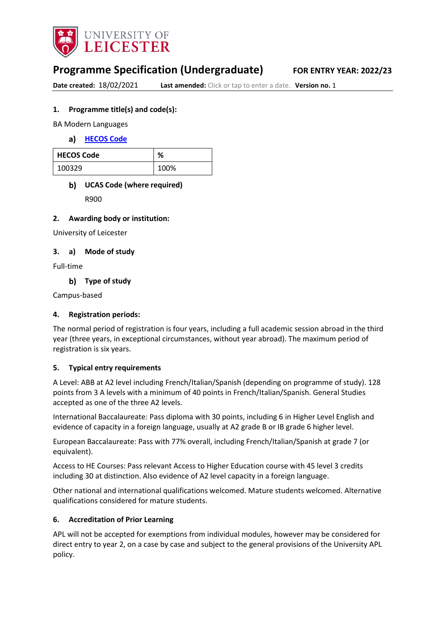

# **Programme Specification (Undergraduate) FOR ENTRY YEAR: 2022/23**

**Date created: 18/02/2021 Last amended:** Click or tap to enter a date. Version no. 1

#### **1. Programme title(s) and code(s):**

BA Modern Languages

**[HECOS Code](https://www.hesa.ac.uk/innovation/hecos)**

| <b>HECOS Code</b> | ℅    |
|-------------------|------|
| 100329            | 100% |

## **UCAS Code (where required)**

R900

#### **2. Awarding body or institution:**

University of Leicester

#### **3. a) Mode of study**

Full-time

**Type of study**

Campus-based

#### **4. Registration periods:**

The normal period of registration is four years, including a full academic session abroad in the third year (three years, in exceptional circumstances, without year abroad). The maximum period of registration is six years.

#### **5. Typical entry requirements**

A Level: ABB at A2 level including French/Italian/Spanish (depending on programme of study). 128 points from 3 A levels with a minimum of 40 points in French/Italian/Spanish. General Studies accepted as one of the three A2 levels.

International Baccalaureate: Pass diploma with 30 points, including 6 in Higher Level English and evidence of capacity in a foreign language, usually at A2 grade B or IB grade 6 higher level.

European Baccalaureate: Pass with 77% overall, including French/Italian/Spanish at grade 7 (or equivalent).

Access to HE Courses: Pass relevant Access to Higher Education course with 45 level 3 credits including 30 at distinction. Also evidence of A2 level capacity in a foreign language.

Other national and international qualifications welcomed. Mature students welcomed. Alternative qualifications considered for mature students.

#### **6. Accreditation of Prior Learning**

APL will not be accepted for exemptions from individual modules, however may be considered for direct entry to year 2, on a case by case and subject to the general provisions of the University APL policy.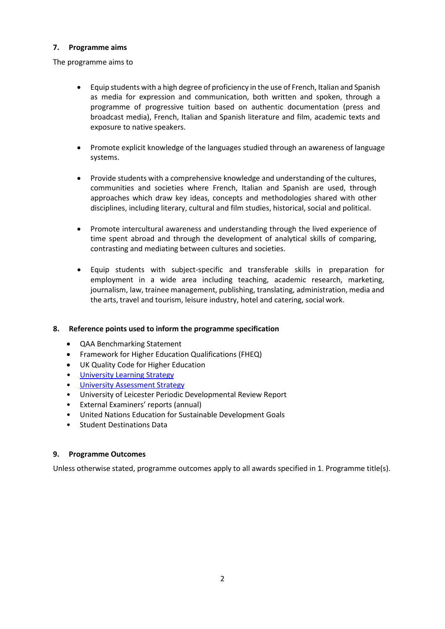#### **7. Programme aims**

The programme aims to

- Equip students with a high degree of proficiency in the use of French, Italian and Spanish as media for expression and communication, both written and spoken, through a programme of progressive tuition based on authentic documentation (press and broadcast media), French, Italian and Spanish literature and film, academic texts and exposure to native speakers.
- Promote explicit knowledge of the languages studied through an awareness of language systems.
- Provide students with a comprehensive knowledge and understanding of the cultures, communities and societies where French, Italian and Spanish are used, through approaches which draw key ideas, concepts and methodologies shared with other disciplines, including literary, cultural and film studies, historical, social and political.
- Promote intercultural awareness and understanding through the lived experience of time spent abroad and through the development of analytical skills of comparing, contrasting and mediating between cultures and societies.
- Equip students with subject-specific and transferable skills in preparation for employment in a wide area including teaching, academic research, marketing, journalism, law, trainee management, publishing, translating, administration, media and the arts, travel and tourism, leisure industry, hotel and catering, social work.

### **8. Reference points used to inform the programme specification**

- QAA Benchmarking Statement
- Framework for Higher Education Qualifications (FHEQ)
- UK Quality Code for Higher Education
- University Learnin[g Strategy](https://www2.le.ac.uk/offices/sas2/quality/learnteach)
- [University Assessment Strategy](https://www2.le.ac.uk/offices/sas2/quality/learnteach)
- University of Leicester Periodic Developmental Review Report
- External Examiners' reports (annual)
- United Nations Education for Sustainable Development Goals
- Student Destinations Data

#### **9. Programme Outcomes**

Unless otherwise stated, programme outcomes apply to all awards specified in 1. Programme title(s).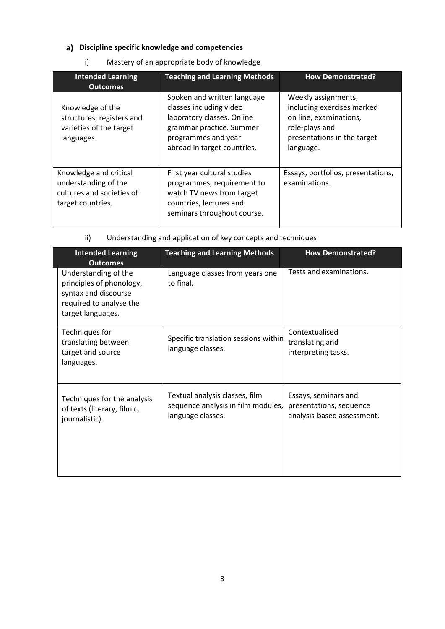## **Discipline specific knowledge and competencies**

## i) Mastery of an appropriate body of knowledge

| <b>Intended Learning</b><br><b>Outcomes</b>                                                      | <b>Teaching and Learning Methods</b>                                                                                                                                   | <b>How Demonstrated?</b>                                                                                                                  |
|--------------------------------------------------------------------------------------------------|------------------------------------------------------------------------------------------------------------------------------------------------------------------------|-------------------------------------------------------------------------------------------------------------------------------------------|
| Knowledge of the<br>structures, registers and<br>varieties of the target<br>languages.           | Spoken and written language<br>classes including video<br>laboratory classes. Online<br>grammar practice. Summer<br>programmes and year<br>abroad in target countries. | Weekly assignments,<br>including exercises marked<br>on line, examinations,<br>role-plays and<br>presentations in the target<br>language. |
| Knowledge and critical<br>understanding of the<br>cultures and societies of<br>target countries. | First year cultural studies<br>programmes, requirement to<br>watch TV news from target<br>countries, lectures and<br>seminars throughout course.                       | Essays, portfolios, presentations,<br>examinations.                                                                                       |

ii) Understanding and application of key concepts and techniques

| <b>Intended Learning</b><br><b>Outcomes</b>                                                                              | <b>Teaching and Learning Methods</b>                                                      | <b>How Demonstrated?</b>                                                      |
|--------------------------------------------------------------------------------------------------------------------------|-------------------------------------------------------------------------------------------|-------------------------------------------------------------------------------|
| Understanding of the<br>principles of phonology,<br>syntax and discourse<br>required to analyse the<br>target languages. | Language classes from years one<br>to final.                                              | Tests and examinations.                                                       |
| Techniques for<br>translating between<br>target and source<br>languages.                                                 | Specific translation sessions within<br>language classes.                                 | Contextualised<br>translating and<br>interpreting tasks.                      |
| Techniques for the analysis<br>of texts (literary, filmic,<br>journalistic).                                             | Textual analysis classes, film<br>sequence analysis in film modules,<br>language classes. | Essays, seminars and<br>presentations, sequence<br>analysis-based assessment. |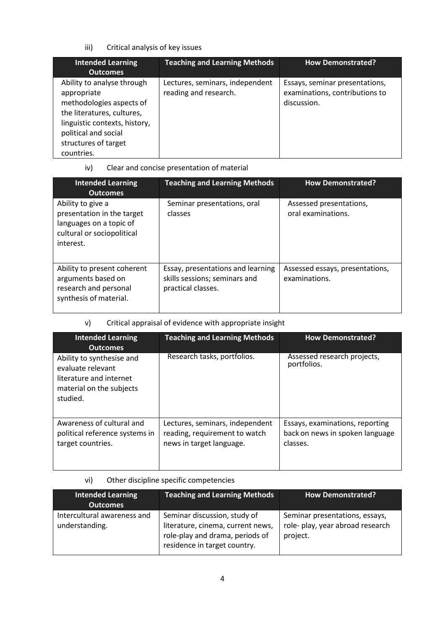iii) Critical analysis of key issues

| <b>Intended Learning</b><br><b>Outcomes</b>                                                                                                                                                        | <b>Teaching and Learning Methods</b>                     | <b>How Demonstrated?</b>                                                        |
|----------------------------------------------------------------------------------------------------------------------------------------------------------------------------------------------------|----------------------------------------------------------|---------------------------------------------------------------------------------|
| Ability to analyse through<br>appropriate<br>methodologies aspects of<br>the literatures, cultures,<br>linguistic contexts, history,<br>political and social<br>structures of target<br>countries. | Lectures, seminars, independent<br>reading and research. | Essays, seminar presentations,<br>examinations, contributions to<br>discussion. |

iv) Clear and concise presentation of material

| <b>Intended Learning</b><br><b>Outcomes</b>                                                                           | <b>Teaching and Learning Methods</b>                                                     | <b>How Demonstrated?</b>                         |
|-----------------------------------------------------------------------------------------------------------------------|------------------------------------------------------------------------------------------|--------------------------------------------------|
| Ability to give a<br>presentation in the target<br>languages on a topic of<br>cultural or sociopolitical<br>interest. | Seminar presentations, oral<br>classes                                                   | Assessed presentations,<br>oral examinations.    |
| Ability to present coherent<br>arguments based on<br>research and personal<br>synthesis of material.                  | Essay, presentations and learning<br>skills sessions; seminars and<br>practical classes. | Assessed essays, presentations,<br>examinations. |

## v) Critical appraisal of evidence with appropriate insight

| <b>Intended Learning</b><br><b>Outcomes</b>                                                                       | <b>Teaching and Learning Methods</b>                                                         | <b>How Demonstrated?</b>                                                       |
|-------------------------------------------------------------------------------------------------------------------|----------------------------------------------------------------------------------------------|--------------------------------------------------------------------------------|
| Ability to synthesise and<br>evaluate relevant<br>literature and internet<br>material on the subjects<br>studied. | Research tasks, portfolios.                                                                  | Assessed research projects,<br>portfolios.                                     |
| Awareness of cultural and<br>political reference systems in<br>target countries.                                  | Lectures, seminars, independent<br>reading, requirement to watch<br>news in target language. | Essays, examinations, reporting<br>back on news in spoken language<br>classes. |

## vi) Other discipline specific competencies

| <b>Intended Learning</b><br><b>Outcomes</b>   | <b>Teaching and Learning Methods</b>                                                                                                 | <b>How Demonstrated?</b>                                                       |
|-----------------------------------------------|--------------------------------------------------------------------------------------------------------------------------------------|--------------------------------------------------------------------------------|
| Intercultural awareness and<br>understanding. | Seminar discussion, study of<br>literature, cinema, current news,<br>role-play and drama, periods of<br>residence in target country. | Seminar presentations, essays,<br>role- play, year abroad research<br>project. |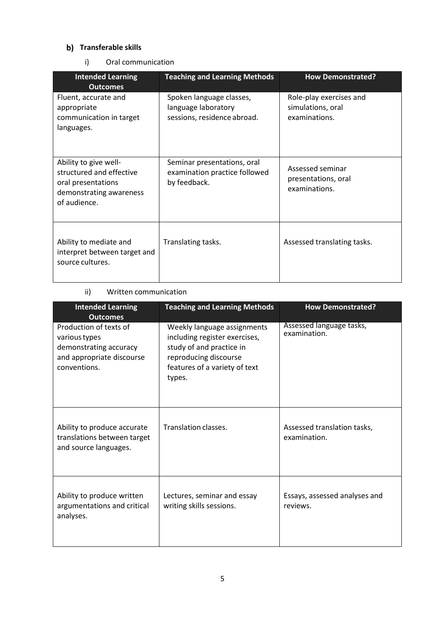### **b)** Transferable skills

i) Oral communication

| <b>Intended Learning</b><br><b>Outcomes</b>                                                                        | <b>Teaching and Learning Methods</b>                                           | <b>How Demonstrated?</b>                                      |
|--------------------------------------------------------------------------------------------------------------------|--------------------------------------------------------------------------------|---------------------------------------------------------------|
| Fluent, accurate and<br>appropriate<br>communication in target<br>languages.                                       | Spoken language classes,<br>language laboratory<br>sessions, residence abroad. | Role-play exercises and<br>simulations, oral<br>examinations. |
| Ability to give well-<br>structured and effective<br>oral presentations<br>demonstrating awareness<br>of audience. | Seminar presentations, oral<br>examination practice followed<br>by feedback.   | Assessed seminar<br>presentations, oral<br>examinations.      |
| Ability to mediate and<br>interpret between target and<br>source cultures.                                         | Translating tasks.                                                             | Assessed translating tasks.                                   |

## ii) Written communication

| <b>Intended Learning</b><br><b>Outcomes</b>                                                                    | <b>Teaching and Learning Methods</b>                                                                                                                         | <b>How Demonstrated?</b>                    |
|----------------------------------------------------------------------------------------------------------------|--------------------------------------------------------------------------------------------------------------------------------------------------------------|---------------------------------------------|
| Production of texts of<br>various types<br>demonstrating accuracy<br>and appropriate discourse<br>conventions. | Weekly language assignments<br>including register exercises,<br>study of and practice in<br>reproducing discourse<br>features of a variety of text<br>types. | Assessed language tasks,<br>examination.    |
| Ability to produce accurate<br>translations between target<br>and source languages.                            | Translation classes.                                                                                                                                         | Assessed translation tasks,<br>examination. |
| Ability to produce written<br>argumentations and critical<br>analyses.                                         | Lectures, seminar and essay<br>writing skills sessions.                                                                                                      | Essays, assessed analyses and<br>reviews.   |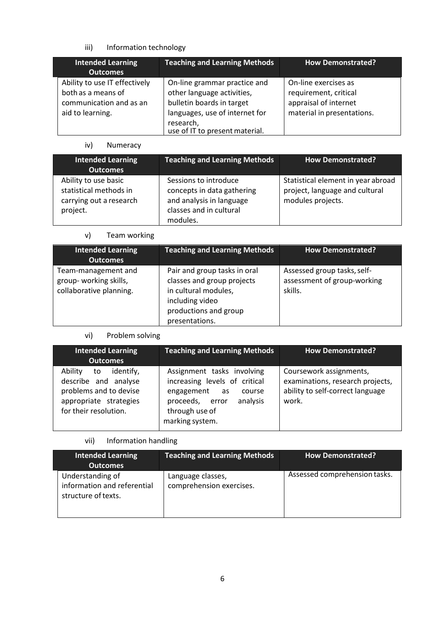## iii) Information technology

| <b>Intended Learning</b><br><b>Outcomes</b>                                                        | <b>Teaching and Learning Methods</b>                                                                                                                                     | <b>How Demonstrated?</b>                                                                             |
|----------------------------------------------------------------------------------------------------|--------------------------------------------------------------------------------------------------------------------------------------------------------------------------|------------------------------------------------------------------------------------------------------|
| Ability to use IT effectively<br>both as a means of<br>communication and as an<br>aid to learning. | On-line grammar practice and<br>other language activities,<br>bulletin boards in target<br>languages, use of internet for<br>research,<br>use of IT to present material. | On-line exercises as<br>requirement, critical<br>appraisal of internet<br>material in presentations. |

## iv) Numeracy

| <b>Intended Learning</b><br><b>Outcomes</b>                                           | <b>Teaching and Learning Methods</b>                                                                                   | <b>How Demonstrated?</b>                                                                  |
|---------------------------------------------------------------------------------------|------------------------------------------------------------------------------------------------------------------------|-------------------------------------------------------------------------------------------|
| Ability to use basic<br>statistical methods in<br>carrying out a research<br>project. | Sessions to introduce<br>concepts in data gathering<br>and analysis in language<br>classes and in cultural<br>modules. | Statistical element in year abroad<br>project, language and cultural<br>modules projects. |

## v) Team working

| <b>Intended Learning</b><br><b>Outcomes</b>                             | <b>Teaching and Learning Methods</b>                                                                                                             | <b>How Demonstrated?</b>                                              |
|-------------------------------------------------------------------------|--------------------------------------------------------------------------------------------------------------------------------------------------|-----------------------------------------------------------------------|
| Team-management and<br>group-working skills,<br>collaborative planning. | Pair and group tasks in oral<br>classes and group projects<br>in cultural modules,<br>including video<br>productions and group<br>presentations. | Assessed group tasks, self-<br>assessment of group-working<br>skills. |

## vi) Problem solving

| <b>Intended Learning</b><br><b>Outcomes</b>                                                                                     | <b>Teaching and Learning Methods</b>                                                                                                                          | <b>How Demonstrated?</b>                                                                                 |
|---------------------------------------------------------------------------------------------------------------------------------|---------------------------------------------------------------------------------------------------------------------------------------------------------------|----------------------------------------------------------------------------------------------------------|
| identify,<br>Ability<br>to<br>describe and analyse<br>problems and to devise<br>appropriate strategies<br>for their resolution. | Assignment tasks involving<br>increasing levels of critical<br>engagement<br>as<br>course<br>analysis<br>proceeds, error<br>through use of<br>marking system. | Coursework assignments,<br>examinations, research projects,<br>ability to self-correct language<br>work. |

## vii) Information handling

| <b>Intended Learning</b><br><b>Outcomes</b>                            | <b>Teaching and Learning Methods</b>          | <b>How Demonstrated?</b>      |
|------------------------------------------------------------------------|-----------------------------------------------|-------------------------------|
| Understanding of<br>information and referential<br>structure of texts. | Language classes,<br>comprehension exercises. | Assessed comprehension tasks. |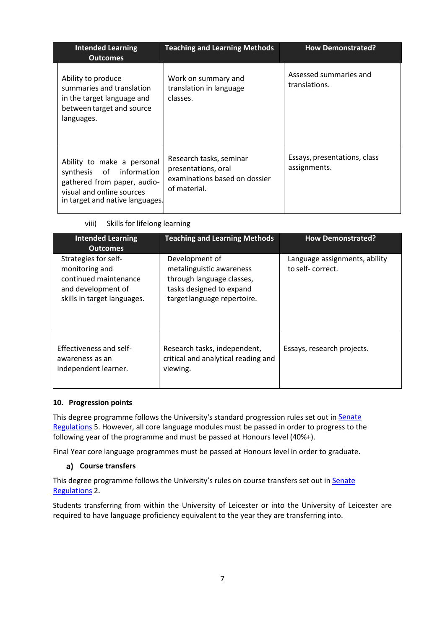| <b>Intended Learning</b><br><b>Outcomes</b>                                                                                                           | <b>Teaching and Learning Methods</b>                                                            | <b>How Demonstrated?</b>                     |
|-------------------------------------------------------------------------------------------------------------------------------------------------------|-------------------------------------------------------------------------------------------------|----------------------------------------------|
| Ability to produce<br>summaries and translation<br>in the target language and<br>between target and source<br>languages.                              | Work on summary and<br>translation in language<br>classes.                                      | Assessed summaries and<br>translations.      |
| Ability to make a personal<br>synthesis of information<br>gathered from paper, audio-<br>visual and online sources<br>in target and native languages. | Research tasks, seminar<br>presentations, oral<br>examinations based on dossier<br>of material. | Essays, presentations, class<br>assignments. |

|  | viii) |  | Skills for lifelong learning |  |
|--|-------|--|------------------------------|--|
|--|-------|--|------------------------------|--|

| <b>Intended Learning</b><br><b>Outcomes</b>                                                                          | <b>Teaching and Learning Methods</b>                                                                                               | <b>How Demonstrated?</b>                          |
|----------------------------------------------------------------------------------------------------------------------|------------------------------------------------------------------------------------------------------------------------------------|---------------------------------------------------|
| Strategies for self-<br>monitoring and<br>continued maintenance<br>and development of<br>skills in target languages. | Development of<br>metalinguistic awareness<br>through language classes,<br>tasks designed to expand<br>target language repertoire. | Language assignments, ability<br>to self-correct. |
| Effectiveness and self-<br>awareness as an<br>independent learner.                                                   | Research tasks, independent,<br>critical and analytical reading and<br>viewing.                                                    | Essays, research projects.                        |

### **10. Progression points**

This degree programme follows the University's standard progression rules set out in Senate [Regulations](http://www.le.ac.uk/senate-regulations) 5. However, all core language modules must be passed in order to progress to the following year of the programme and must be passed at Honours level (40%+).

Final Year core language programmes must be passed at Honours level in order to graduate.

### **Course transfers**

This degree programme follows the University's rules on course transfers set out in Senate [Regulations](https://www2.le.ac.uk/offices/sas2/regulations/documents/sr2-admission-and-registration) 2.

Students transferring from within the University of Leicester or into the University of Leicester are required to have language proficiency equivalent to the year they are transferring into.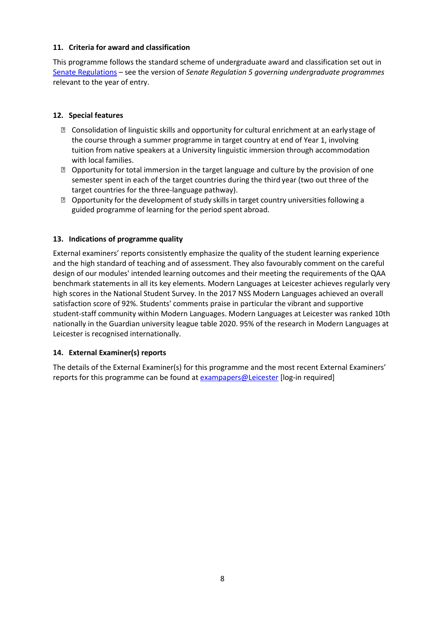#### **11. Criteria for award and classification**

This programme follows the standard scheme of undergraduate award and classification set out in [Senate Regulations](http://www.le.ac.uk/senate-regulations) – see the version of *Senate Regulation 5 governing undergraduate programmes* relevant to the year of entry.

### **12. Special features**

- Consolidation of linguistic skills and opportunity for cultural enrichment at an earlystage of the course through a summer programme in target country at end of Year 1, involving tuition from native speakers at a University linguistic immersion through accommodation with local families.
- Opportunity for total immersion in the target language and culture by the provision of one semester spent in each of the target countries during the third year (two out three of the target countries for the three-language pathway).
- **Deportunity for the development of study skills in target country universities following a** guided programme of learning for the period spent abroad.

### **13. Indications of programme quality**

External examiners' reports consistently emphasize the quality of the student learning experience and the high standard of teaching and of assessment. They also favourably comment on the careful design of our modules' intended learning outcomes and their meeting the requirements of the QAA benchmark statements in all its key elements. Modern Languages at Leicester achieves regularly very high scores in the National Student Survey. In the 2017 NSS Modern Languages achieved an overall satisfaction score of 92%. Students' comments praise in particular the vibrant and supportive student-staff community within Modern Languages. Modern Languages at Leicester was ranked 10th nationally in the Guardian university league table 2020. 95% of the research in Modern Languages at Leicester is recognised internationally.

### **14. External Examiner(s) reports**

The details of the External Examiner(s) for this programme and the most recent External Examiners' reports for this programme can be found at [exampapers@Leicester](https://exampapers.le.ac.uk/) [log-in required]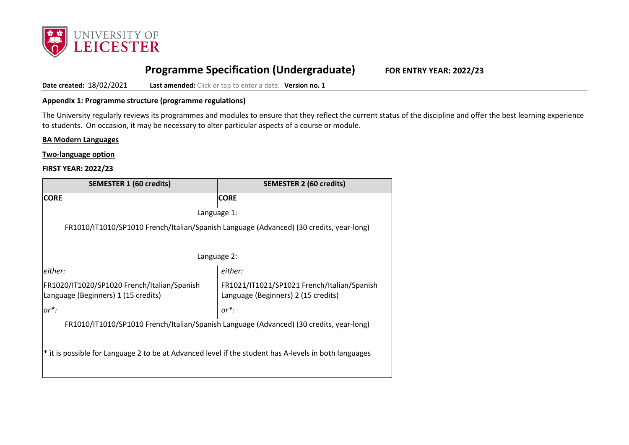

# **Programme Specification (Undergraduate) FOR ENTRY YEAR: 2022/23**

**Date created:** 18/02/2021 **Last amended:** Click or tap to enter a date. Version no. 1

#### **Appendix 1: Programme structure (programme regulations)**

The University regularly reviews its programmes and modules to ensure that they reflect the current status of the discipline and offer the best learning experience to students. On occasion, it may be necessary to alter particular aspects of a course or module.

#### **BA Modern Languages**

**Two-language option**

#### **FIRST YEAR: 2022/23**

| <b>SEMESTER 1 (60 credits)</b>                                                                                                                                           | <b>SEMESTER 2 (60 credits)</b> |  |
|--------------------------------------------------------------------------------------------------------------------------------------------------------------------------|--------------------------------|--|
| <b>CORE</b>                                                                                                                                                              | <b>CORE</b>                    |  |
| Language 1:                                                                                                                                                              |                                |  |
| FR1010/IT1010/SP1010 French/Italian/Spanish Language (Advanced) (30 credits, year-long)                                                                                  |                                |  |
|                                                                                                                                                                          |                                |  |
| Language 2:                                                                                                                                                              |                                |  |
| either:<br>either:                                                                                                                                                       |                                |  |
| FR1020/IT1020/SP1020 French/Italian/Spanish<br>FR1021/IT1021/SP1021 French/Italian/Spanish<br>Language (Beginners) 1 (15 credits)<br>Language (Beginners) 2 (15 credits) |                                |  |
| $or^*$ :<br>$or^*$ :                                                                                                                                                     |                                |  |
| FR1010/IT1010/SP1010 French/Italian/Spanish Language (Advanced) (30 credits, year-long)                                                                                  |                                |  |
| * it is possible for Language 2 to be at Advanced level if the student has A-levels in both languages                                                                    |                                |  |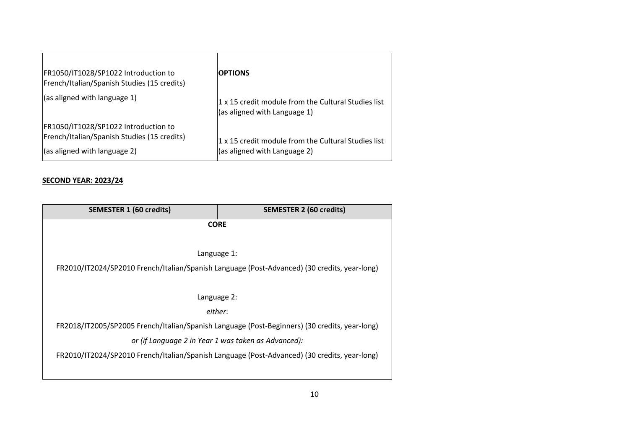| FR1050/IT1028/SP1022 Introduction to<br> French/Italian/Spanish Studies (15 credits)                                         | <b>OPTIONS</b>                                                                      |
|------------------------------------------------------------------------------------------------------------------------------|-------------------------------------------------------------------------------------|
| $\vert$ (as aligned with language 1)                                                                                         | 1 x 15 credit module from the Cultural Studies list<br>(as aligned with Language 1) |
| FR1050/IT1028/SP1022 Introduction to<br> French/Italian/Spanish Studies (15 credits)<br>$\vert$ (as aligned with language 2) | 1 x 15 credit module from the Cultural Studies list<br>(as aligned with Language 2) |

#### **SECOND YEAR: 2023/24**

| <b>SEMESTER 1 (60 credits)</b>                                                               | <b>SEMESTER 2 (60 credits)</b>                                                                |  |
|----------------------------------------------------------------------------------------------|-----------------------------------------------------------------------------------------------|--|
| <b>CORE</b>                                                                                  |                                                                                               |  |
|                                                                                              |                                                                                               |  |
|                                                                                              | Language 1:                                                                                   |  |
|                                                                                              | FR2010/IT2024/SP2010 French/Italian/Spanish Language (Post-Advanced) (30 credits, year-long)  |  |
|                                                                                              |                                                                                               |  |
| Language 2:                                                                                  |                                                                                               |  |
|                                                                                              | either:                                                                                       |  |
|                                                                                              | FR2018/IT2005/SP2005 French/Italian/Spanish Language (Post-Beginners) (30 credits, year-long) |  |
| or (if Language 2 in Year 1 was taken as Advanced):                                          |                                                                                               |  |
| FR2010/IT2024/SP2010 French/Italian/Spanish Language (Post-Advanced) (30 credits, year-long) |                                                                                               |  |
|                                                                                              |                                                                                               |  |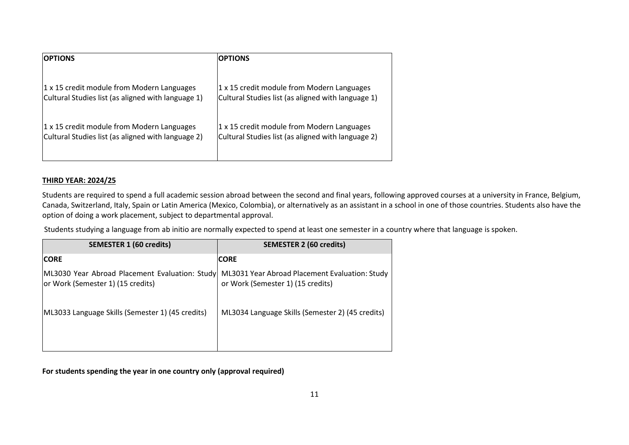| <b>OPTIONS</b>                                     | <b>OPTIONS</b>                                     |
|----------------------------------------------------|----------------------------------------------------|
| 1 x 15 credit module from Modern Languages         | 1 x 15 credit module from Modern Languages         |
| Cultural Studies list (as aligned with language 1) | Cultural Studies list (as aligned with language 1) |
| 1 x 15 credit module from Modern Languages         | 1 x 15 credit module from Modern Languages         |
| Cultural Studies list (as aligned with language 2) | Cultural Studies list (as aligned with language 2) |

#### **THIRD YEAR: 2024/25**

Students are required to spend a full academic session abroad between the second and final years, following approved courses at a university in France, Belgium, Canada, Switzerland, Italy, Spain or Latin America (Mexico, Colombia), or alternatively as an assistant in a school in one of those countries. Students also have the option of doing a work placement, subject to departmental approval.

Students studying a language from ab initio are normally expected to spend at least one semester in a country where that language is spoken.

| <b>SEMESTER 1 (60 credits)</b>                                                      | <b>SEMESTER 2 (60 credits)</b>                                                      |
|-------------------------------------------------------------------------------------|-------------------------------------------------------------------------------------|
| <b>CORE</b>                                                                         | <b>CORE</b>                                                                         |
| ML3030 Year Abroad Placement Evaluation: Study<br>or Work (Semester 1) (15 credits) | ML3031 Year Abroad Placement Evaluation: Study<br>or Work (Semester 1) (15 credits) |
| ML3033 Language Skills (Semester 1) (45 credits)                                    | ML3034 Language Skills (Semester 2) (45 credits)                                    |

**For students spending the year in one country only (approval required)**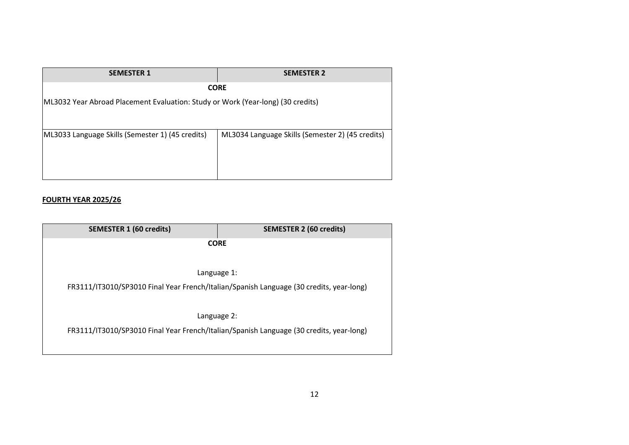| <b>SEMESTER 1</b>                                                               | <b>SEMESTER 2</b>                                |
|---------------------------------------------------------------------------------|--------------------------------------------------|
| <b>CORE</b>                                                                     |                                                  |
| ML3032 Year Abroad Placement Evaluation: Study or Work (Year-long) (30 credits) |                                                  |
|                                                                                 |                                                  |
| ML3033 Language Skills (Semester 1) (45 credits)                                | ML3034 Language Skills (Semester 2) (45 credits) |
|                                                                                 |                                                  |
|                                                                                 |                                                  |
|                                                                                 |                                                  |

#### **FOURTH YEAR 2025/26**

| <b>SEMESTER 1 (60 credits)</b> | <b>SEMESTER 2 (60 credits)</b>                                                          |
|--------------------------------|-----------------------------------------------------------------------------------------|
|                                | <b>CORE</b>                                                                             |
|                                |                                                                                         |
|                                | Language 1:                                                                             |
|                                | FR3111/IT3010/SP3010 Final Year French/Italian/Spanish Language (30 credits, year-long) |
|                                |                                                                                         |
|                                | Language 2:                                                                             |
|                                | FR3111/IT3010/SP3010 Final Year French/Italian/Spanish Language (30 credits, year-long) |
|                                |                                                                                         |
|                                |                                                                                         |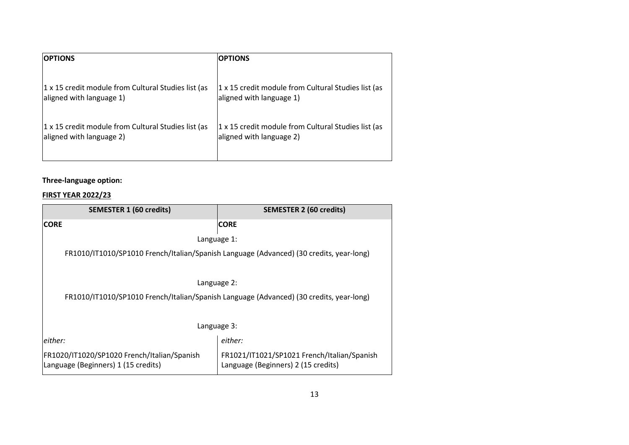| <b>OPTIONS</b>                                      | <b>OPTIONS</b>                                      |
|-----------------------------------------------------|-----------------------------------------------------|
| 1 x 15 credit module from Cultural Studies list (as | 1 x 15 credit module from Cultural Studies list (as |
| aligned with language 1)                            | aligned with language 1)                            |
| 1 x 15 credit module from Cultural Studies list (as | 1 x 15 credit module from Cultural Studies list (as |
| aligned with language 2)                            | aligned with language 2)                            |

## **Three-language option:**

## **FIRST YEAR 2022/23**

| <b>SEMESTER 1 (60 credits)</b>                                                          | <b>SEMESTER 2 (60 credits)</b>                                                     |  |  |
|-----------------------------------------------------------------------------------------|------------------------------------------------------------------------------------|--|--|
| <b>CORE</b>                                                                             | <b>CORE</b>                                                                        |  |  |
|                                                                                         | Language 1:                                                                        |  |  |
| FR1010/IT1010/SP1010 French/Italian/Spanish Language (Advanced) (30 credits, year-long) |                                                                                    |  |  |
|                                                                                         | Language 2:                                                                        |  |  |
| FR1010/IT1010/SP1010 French/Italian/Spanish Language (Advanced) (30 credits, year-long) |                                                                                    |  |  |
| Language 3:                                                                             |                                                                                    |  |  |
| either:                                                                                 | either:                                                                            |  |  |
| FR1020/IT1020/SP1020 French/Italian/Spanish<br>Language (Beginners) 1 (15 credits)      | FR1021/IT1021/SP1021 French/Italian/Spanish<br>Language (Beginners) 2 (15 credits) |  |  |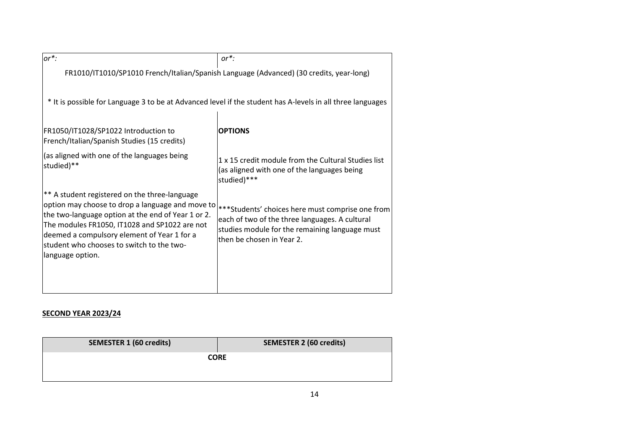| $or^*$ :                                                                                                                                                                                                                                                                                                                 | $or^*$ :                                                                                                                                                                          |  |
|--------------------------------------------------------------------------------------------------------------------------------------------------------------------------------------------------------------------------------------------------------------------------------------------------------------------------|-----------------------------------------------------------------------------------------------------------------------------------------------------------------------------------|--|
|                                                                                                                                                                                                                                                                                                                          | FR1010/IT1010/SP1010 French/Italian/Spanish Language (Advanced) (30 credits, year-long)                                                                                           |  |
| * It is possible for Language 3 to be at Advanced level if the student has A-levels in all three languages                                                                                                                                                                                                               |                                                                                                                                                                                   |  |
| FR1050/IT1028/SP1022 Introduction to<br>French/Italian/Spanish Studies (15 credits)                                                                                                                                                                                                                                      | <b>OPTIONS</b>                                                                                                                                                                    |  |
| (as aligned with one of the languages being<br>studied)**                                                                                                                                                                                                                                                                | 1 x 15 credit module from the Cultural Studies list<br>(as aligned with one of the languages being<br>studied)***                                                                 |  |
| ** A student registered on the three-language<br>option may choose to drop a language and move to<br>the two-language option at the end of Year 1 or 2.<br>The modules FR1050, IT1028 and SP1022 are not<br>deemed a compulsory element of Year 1 for a<br>student who chooses to switch to the two-<br>language option. | ***Students' choices here must comprise one from<br>each of two of the three languages. A cultural<br>studies module for the remaining language must<br>then be chosen in Year 2. |  |

## **SECOND YEAR 2023/24**

| <b>SEMESTER 1 (60 credits)</b> | <b>SEMESTER 2 (60 credits)</b> |
|--------------------------------|--------------------------------|
|                                | <b>CORE</b>                    |
|                                |                                |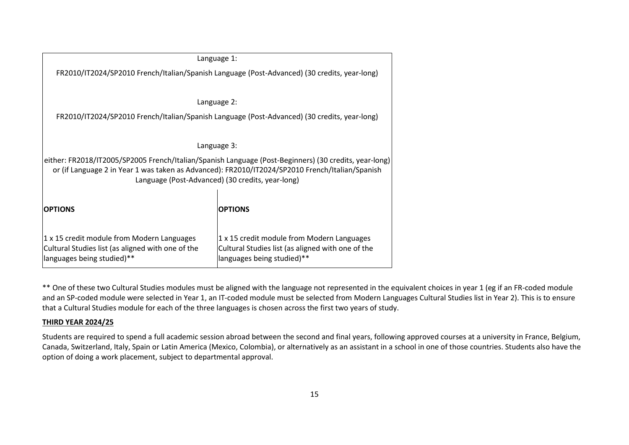| Language 1:                                                                                                                                                                                                                                                  |                                                                                                                               |  |  |  |
|--------------------------------------------------------------------------------------------------------------------------------------------------------------------------------------------------------------------------------------------------------------|-------------------------------------------------------------------------------------------------------------------------------|--|--|--|
| FR2010/IT2024/SP2010 French/Italian/Spanish Language (Post-Advanced) (30 credits, year-long)                                                                                                                                                                 |                                                                                                                               |  |  |  |
|                                                                                                                                                                                                                                                              | Language 2:                                                                                                                   |  |  |  |
| FR2010/IT2024/SP2010 French/Italian/Spanish Language (Post-Advanced) (30 credits, year-long)                                                                                                                                                                 |                                                                                                                               |  |  |  |
|                                                                                                                                                                                                                                                              | Language 3:                                                                                                                   |  |  |  |
| either: FR2018/IT2005/SP2005 French/Italian/Spanish Language (Post-Beginners) (30 credits, year-long)<br>or (if Language 2 in Year 1 was taken as Advanced): FR2010/IT2024/SP2010 French/Italian/Spanish<br>Language (Post-Advanced) (30 credits, year-long) |                                                                                                                               |  |  |  |
| <b>OPTIONS</b>                                                                                                                                                                                                                                               | <b>OPTIONS</b>                                                                                                                |  |  |  |
| 1 x 15 credit module from Modern Languages<br>Cultural Studies list (as aligned with one of the<br>languages being studied)**                                                                                                                                | 1 x 15 credit module from Modern Languages<br>Cultural Studies list (as aligned with one of the<br>languages being studied)** |  |  |  |

\*\* One of these two Cultural Studies modules must be aligned with the language not represented in the equivalent choices in year 1 (eg if an FR-coded module and an SP-coded module were selected in Year 1, an IT-coded module must be selected from Modern Languages Cultural Studies list in Year 2). This is to ensure that a Cultural Studies module for each of the three languages is chosen across the first two years of study.

#### **THIRD YEAR 2024/25**

Students are required to spend a full academic session abroad between the second and final years, following approved courses at a university in France, Belgium, Canada, Switzerland, Italy, Spain or Latin America (Mexico, Colombia), or alternatively as an assistant in a school in one of those countries. Students also have the option of doing a work placement, subject to departmental approval.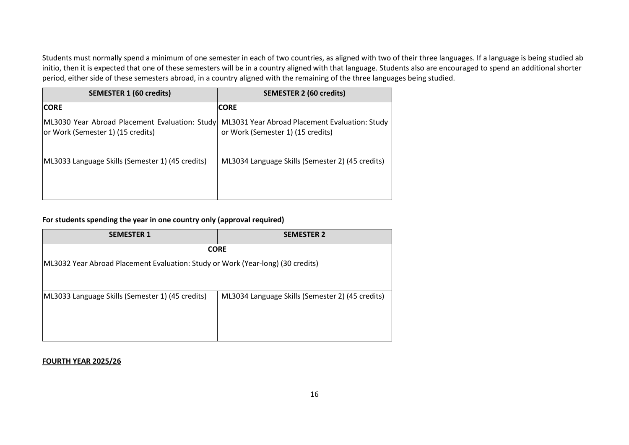Students must normally spend a minimum of one semester in each of two countries, as aligned with two of their three languages. If a language is being studied ab initio, then it is expected that one of these semesters will be in a country aligned with that language. Students also are encouraged to spend an additional shorter period, either side of these semesters abroad, in a country aligned with the remaining of the three languages being studied.

| <b>SEMESTER 1 (60 credits)</b>                                                      | <b>SEMESTER 2 (60 credits)</b>                                                      |  |
|-------------------------------------------------------------------------------------|-------------------------------------------------------------------------------------|--|
| <b>CORE</b>                                                                         | <b>CORE</b>                                                                         |  |
| ML3030 Year Abroad Placement Evaluation: Study<br>or Work (Semester 1) (15 credits) | ML3031 Year Abroad Placement Evaluation: Study<br>or Work (Semester 1) (15 credits) |  |
| [ML3033 Language Skills (Semester 1) (45 credits)                                   | ML3034 Language Skills (Semester 2) (45 credits)                                    |  |

## **For students spending the year in one country only (approval required)**

| <b>SEMESTER 1</b>                                                               | <b>SEMESTER 2</b>                                |  |  |
|---------------------------------------------------------------------------------|--------------------------------------------------|--|--|
| <b>CORE</b>                                                                     |                                                  |  |  |
| ML3032 Year Abroad Placement Evaluation: Study or Work (Year-long) (30 credits) |                                                  |  |  |
|                                                                                 |                                                  |  |  |
| ML3033 Language Skills (Semester 1) (45 credits)                                | ML3034 Language Skills (Semester 2) (45 credits) |  |  |
|                                                                                 |                                                  |  |  |
|                                                                                 |                                                  |  |  |
|                                                                                 |                                                  |  |  |

#### **FOURTH YEAR 2025/26**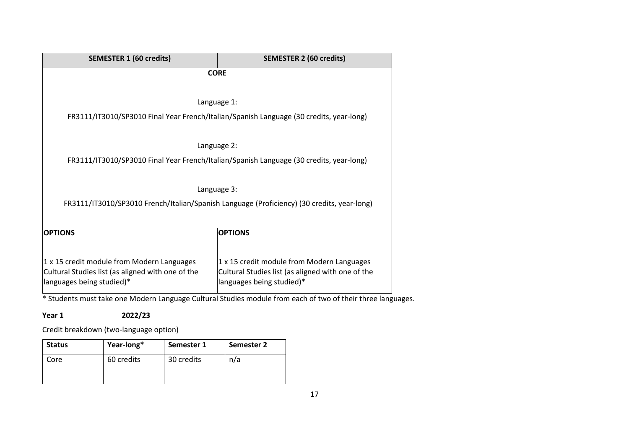\* Students must take one Modern Language Cultural Studies module from each of two of their three languages.

**Year 1 2022/23**

Credit breakdown (two-language option)

| <b>Status</b> | Year-long* | Semester 1 | Semester 2 |
|---------------|------------|------------|------------|
| Core          | 60 credits | 30 credits | n/a        |
|               |            |            |            |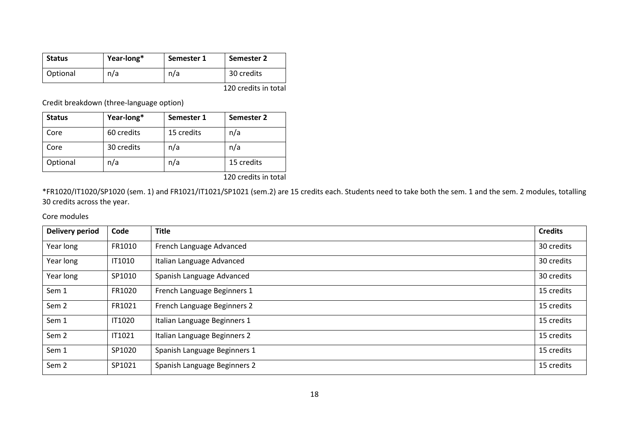| <b>Status</b> | Year-long* | Semester 1 | Semester 2           |
|---------------|------------|------------|----------------------|
| Optional      | n/a        | n/a        | 30 credits           |
|               |            |            | 120 credits in total |

Credit breakdown (three-language option)

| <b>Status</b> | Year-long* | Semester 1 | Semester 2 |
|---------------|------------|------------|------------|
| Core          | 60 credits | 15 credits | n/a        |
| Core          | 30 credits | n/a        | n/a        |
| Optional      | n/a        | n/a        | 15 credits |

120 credits in total

\*FR1020/IT1020/SP1020 (sem. 1) and FR1021/IT1021/SP1021 (sem.2) are 15 credits each. Students need to take both the sem. 1 and the sem. 2 modules, totalling 30 credits across the year.

Core modules

| <b>Delivery period</b> | Code          | <b>Title</b>                 | <b>Credits</b> |
|------------------------|---------------|------------------------------|----------------|
| Year long              | FR1010        | French Language Advanced     | 30 credits     |
| Year long              | <b>IT1010</b> | Italian Language Advanced    | 30 credits     |
| Year long              | SP1010        | Spanish Language Advanced    | 30 credits     |
| Sem 1                  | FR1020        | French Language Beginners 1  | 15 credits     |
| Sem <sub>2</sub>       | FR1021        | French Language Beginners 2  | 15 credits     |
| Sem 1                  | <b>IT1020</b> | Italian Language Beginners 1 | 15 credits     |
| Sem <sub>2</sub>       | IT1021        | Italian Language Beginners 2 | 15 credits     |
| Sem 1                  | SP1020        | Spanish Language Beginners 1 | 15 credits     |
| Sem <sub>2</sub>       | SP1021        | Spanish Language Beginners 2 | 15 credits     |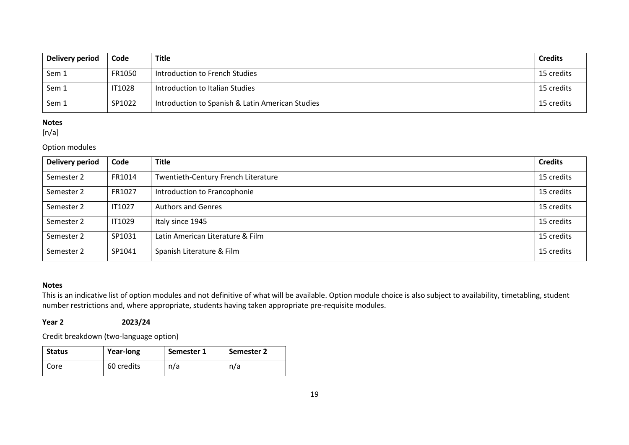| Delivery period | Code          | <b>Title</b>                                     | <b>Credits</b> |
|-----------------|---------------|--------------------------------------------------|----------------|
| Sem 1           | FR1050        | Introduction to French Studies                   | 15 credits     |
| Sem 1           | <b>IT1028</b> | Introduction to Italian Studies                  | 15 credits     |
| Sem 1           | SP1022        | Introduction to Spanish & Latin American Studies | 15 credits     |

### **Notes**

 $[n/a]$ 

#### Option modules

| Delivery period | Code          | <b>Title</b>                        | <b>Credits</b> |
|-----------------|---------------|-------------------------------------|----------------|
| Semester 2      | FR1014        | Twentieth-Century French Literature | 15 credits     |
| Semester 2      | FR1027        | Introduction to Francophonie        | 15 credits     |
| Semester 2      | <b>IT1027</b> | <b>Authors and Genres</b>           | 15 credits     |
| Semester 2      | IT1029        | Italy since 1945                    | 15 credits     |
| Semester 2      | SP1031        | Latin American Literature & Film    | 15 credits     |
| Semester 2      | SP1041        | Spanish Literature & Film           | 15 credits     |

#### **Notes**

This is an indicative list of option modules and not definitive of what will be available. Option module choice is also subject to availability, timetabling, student number restrictions and, where appropriate, students having taken appropriate pre-requisite modules.

**Year 2 2023/24**

Credit breakdown (two-language option)

| <b>Status</b> | Year-long  | Semester 1 | Semester 2 |
|---------------|------------|------------|------------|
| Core          | 60 credits | n/a        | n/a        |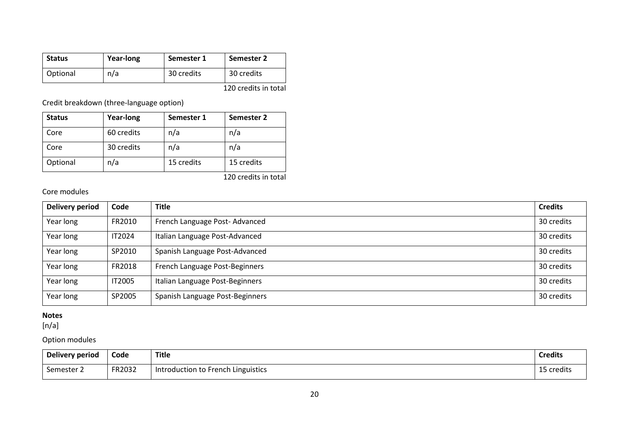| <b>Status</b> | Year-long | Semester 1 | Semester 2           |
|---------------|-----------|------------|----------------------|
| Optional      | n/a       | 30 credits | 30 credits           |
|               |           |            | 120 credits in total |

Credit breakdown (three-language option)

| <b>Status</b> | <b>Year-long</b> | Semester 1 | Semester 2 |
|---------------|------------------|------------|------------|
| Core          | 60 credits       | n/a        | n/a        |
| Core          | 30 credits       | n/a        | n/a        |
| Optional      | n/a              | 15 credits | 15 credits |

120 credits in total

#### Core modules

| Delivery period | Code          | <b>Title</b>                    | <b>Credits</b> |
|-----------------|---------------|---------------------------------|----------------|
| Year long       | FR2010        | French Language Post-Advanced   | 30 credits     |
| Year long       | IT2024        | Italian Language Post-Advanced  | 30 credits     |
| Year long       | SP2010        | Spanish Language Post-Advanced  | 30 credits     |
| Year long       | FR2018        | French Language Post-Beginners  | 30 credits     |
| Year long       | <b>IT2005</b> | Italian Language Post-Beginners | 30 credits     |
| Year long       | SP2005        | Spanish Language Post-Beginners | 30 credits     |

#### **Notes**

[n/a]

## Option modules

| Delivery period | Code   | <b>Title</b>                       | <b>Credits</b> |
|-----------------|--------|------------------------------------|----------------|
| Semester 2      | FR2032 | Introduction to French Linguistics | 15 credits     |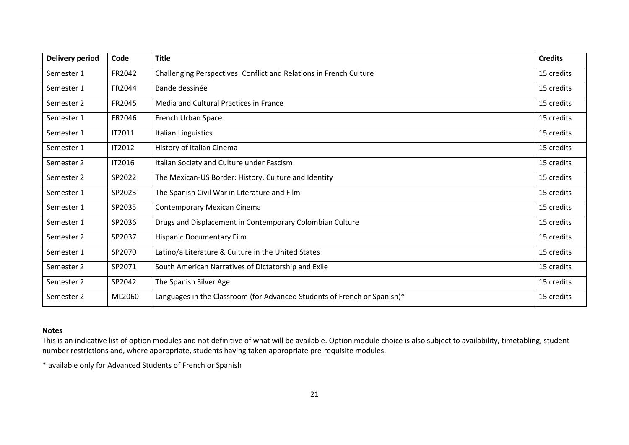| <b>Delivery period</b> | Code          | <b>Title</b>                                                             | <b>Credits</b> |
|------------------------|---------------|--------------------------------------------------------------------------|----------------|
| Semester 1             | FR2042        | Challenging Perspectives: Conflict and Relations in French Culture       | 15 credits     |
| Semester 1             | FR2044        | Bande dessinée                                                           | 15 credits     |
| Semester 2             | FR2045        | Media and Cultural Practices in France                                   | 15 credits     |
| Semester 1             | FR2046        | French Urban Space                                                       | 15 credits     |
| Semester 1             | IT2011        | Italian Linguistics                                                      | 15 credits     |
| Semester 1             | <b>IT2012</b> | History of Italian Cinema                                                | 15 credits     |
| Semester 2             | <b>IT2016</b> | Italian Society and Culture under Fascism                                | 15 credits     |
| Semester 2             | SP2022        | The Mexican-US Border: History, Culture and Identity                     | 15 credits     |
| Semester 1             | SP2023        | The Spanish Civil War in Literature and Film                             | 15 credits     |
| Semester 1             | SP2035        | <b>Contemporary Mexican Cinema</b>                                       | 15 credits     |
| Semester 1             | SP2036        | Drugs and Displacement in Contemporary Colombian Culture                 | 15 credits     |
| Semester 2             | SP2037        | <b>Hispanic Documentary Film</b>                                         | 15 credits     |
| Semester 1             | SP2070        | Latino/a Literature & Culture in the United States                       | 15 credits     |
| Semester 2             | SP2071        | South American Narratives of Dictatorship and Exile                      | 15 credits     |
| Semester 2             | SP2042        | The Spanish Silver Age                                                   | 15 credits     |
| Semester 2             | ML2060        | Languages in the Classroom (for Advanced Students of French or Spanish)* | 15 credits     |

#### **Notes**

This is an indicative list of option modules and not definitive of what will be available. Option module choice is also subject to availability, timetabling, student number restrictions and, where appropriate, students having taken appropriate pre-requisite modules.

\* available only for Advanced Students of French or Spanish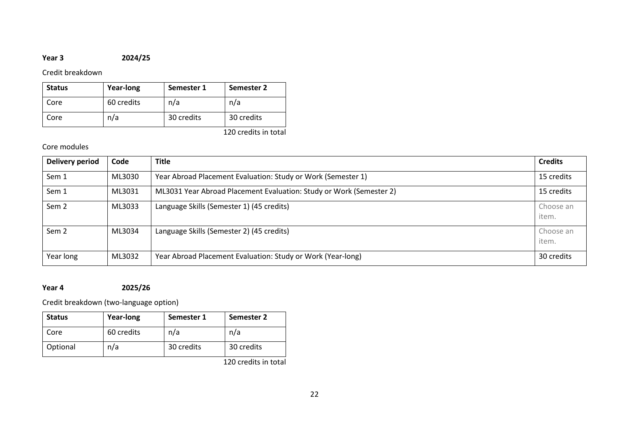## **Year 3 2024/25**

## Credit breakdown

| <b>Status</b> | Year-long  | Semester 1 | Semester 2 |
|---------------|------------|------------|------------|
| Core          | 60 credits | n/a        | n/a        |
| Core          | n/a        | 30 credits | 30 credits |

120 credits in total

## Core modules

| Delivery period  | Code   | <b>Title</b>                                                        | <b>Credits</b>     |
|------------------|--------|---------------------------------------------------------------------|--------------------|
| Sem 1            | ML3030 | Year Abroad Placement Evaluation: Study or Work (Semester 1)        | 15 credits         |
| Sem 1            | ML3031 | ML3031 Year Abroad Placement Evaluation: Study or Work (Semester 2) | 15 credits         |
| Sem <sub>2</sub> | ML3033 | Language Skills (Semester 1) (45 credits)                           | Choose an<br>item. |
| Sem <sub>2</sub> | ML3034 | Language Skills (Semester 2) (45 credits)                           | Choose an<br>item. |
| Year long        | ML3032 | Year Abroad Placement Evaluation: Study or Work (Year-long)         | 30 credits         |

## **Year 4 2025/26**

Credit breakdown (two-language option)

| <b>Status</b> | <b>Year-long</b> | Semester 1 | Semester 2 |
|---------------|------------------|------------|------------|
| Core          | 60 credits       | n/a        | n/a        |
| Optional      | n/a              | 30 credits | 30 credits |

120 credits in total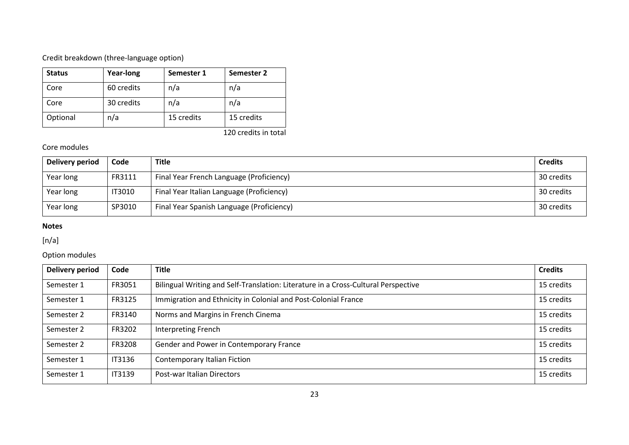## Credit breakdown (three-language option)

| <b>Status</b> | <b>Year-long</b> | Semester 1 | Semester 2 |
|---------------|------------------|------------|------------|
| Core          | 60 credits       | n/a        | n/a        |
| Core          | 30 credits       | n/a        | n/a        |
| Optional      | n/a              | 15 credits | 15 credits |

120 credits in total

## Core modules

| Delivery period | Code          | <b>Title</b>                              | <b>Credits</b> |
|-----------------|---------------|-------------------------------------------|----------------|
| Year long       | FR3111        | Final Year French Language (Proficiency)  | 30 credits     |
| Year long       | <b>IT3010</b> | Final Year Italian Language (Proficiency) | 30 credits     |
| Year long       | SP3010        | Final Year Spanish Language (Proficiency) | 30 credits     |

#### **Notes**

## [n/a]

## Option modules

| <b>Delivery period</b> | Code          | <b>Title</b>                                                                       |            |
|------------------------|---------------|------------------------------------------------------------------------------------|------------|
| Semester 1             | FR3051        | Bilingual Writing and Self-Translation: Literature in a Cross-Cultural Perspective |            |
| Semester 1             | FR3125        | Immigration and Ethnicity in Colonial and Post-Colonial France                     |            |
| Semester 2             | FR3140        | Norms and Margins in French Cinema                                                 | 15 credits |
| Semester 2             | FR3202        | <b>Interpreting French</b>                                                         | 15 credits |
| Semester 2             | FR3208        | Gender and Power in Contemporary France                                            |            |
| Semester 1             | IT3136        | Contemporary Italian Fiction                                                       |            |
| Semester 1             | <b>IT3139</b> | Post-war Italian Directors                                                         |            |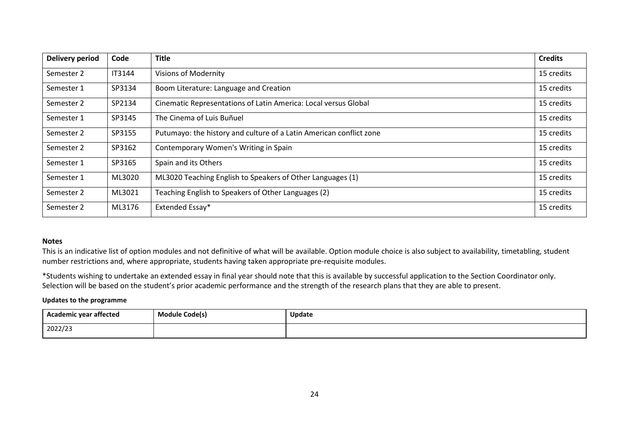| Delivery period | Code          | <b>Title</b>                                                        | <b>Credits</b> |
|-----------------|---------------|---------------------------------------------------------------------|----------------|
| Semester 2      | <b>IT3144</b> | <b>Visions of Modernity</b>                                         |                |
| Semester 1      | SP3134        | Boom Literature: Language and Creation                              |                |
| Semester 2      | SP2134        | Cinematic Representations of Latin America: Local versus Global     |                |
| Semester 1      | SP3145        | The Cinema of Luis Buñuel                                           |                |
| Semester 2      | SP3155        | Putumayo: the history and culture of a Latin American conflict zone | 15 credits     |
| Semester 2      | SP3162        | Contemporary Women's Writing in Spain                               |                |
| Semester 1      | SP3165        | Spain and its Others                                                |                |
| Semester 1      | ML3020        | ML3020 Teaching English to Speakers of Other Languages (1)          |                |
| Semester 2      | ML3021        | Teaching English to Speakers of Other Languages (2)                 |                |
| Semester 2      | ML3176        | Extended Essay*                                                     |                |

#### **Notes**

This is an indicative list of option modules and not definitive of what will be available. Option module choice is also subject to availability, timetabling, student number restrictions and, where appropriate, students having taken appropriate pre-requisite modules.

\*Students wishing to undertake an extended essay in final year should note that this is available by successful application to the Section Coordinator only. Selection will be based on the student's prior academic performance and the strength of the research plans that they are able to present.

#### **Updates to the programme**

| .<br>Academic year affected | Module Code(s) | <b>Update</b> |
|-----------------------------|----------------|---------------|
| 2022/23                     |                |               |